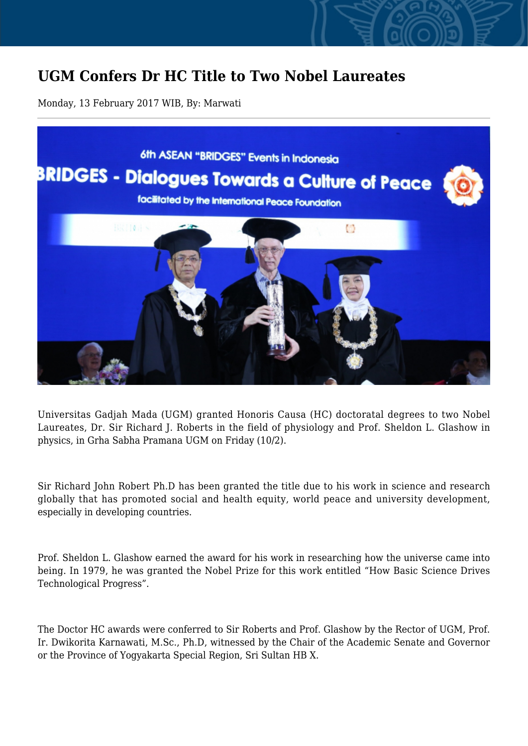## **UGM Confers Dr HC Title to Two Nobel Laureates**

Monday, 13 February 2017 WIB, By: Marwati



Universitas Gadjah Mada (UGM) granted Honoris Causa (HC) doctoratal degrees to two Nobel Laureates, Dr. Sir Richard J. Roberts in the field of physiology and Prof. Sheldon L. Glashow in physics, in Grha Sabha Pramana UGM on Friday (10/2).

Sir Richard John Robert Ph.D has been granted the title due to his work in science and research globally that has promoted social and health equity, world peace and university development, especially in developing countries.

Prof. Sheldon L. Glashow earned the award for his work in researching how the universe came into being. In 1979, he was granted the Nobel Prize for this work entitled "How Basic Science Drives Technological Progress".

The Doctor HC awards were conferred to Sir Roberts and Prof. Glashow by the Rector of UGM, Prof. Ir. Dwikorita Karnawati, M.Sc., Ph.D, witnessed by the Chair of the Academic Senate and Governor or the Province of Yogyakarta Special Region, Sri Sultan HB X.